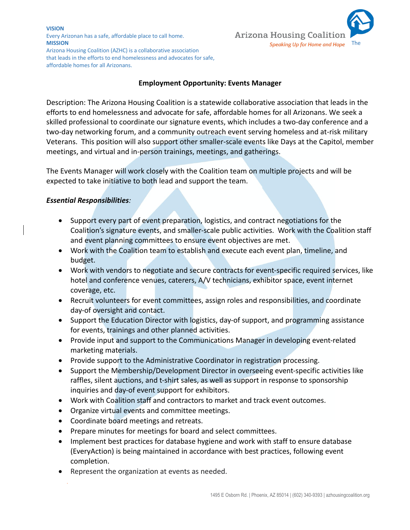#### **VISION** Every Arizonan has a safe, affordable place to call home. **MISSION** Speaking Up for Home and Hope **The Contract Official Act of the Contract Official Act of the Contract Official Act of the Contract Official Act of the Contract Official Act of the Contract Official Act of the Con**



Arizona Housing Coalition (AZHC) is a collaborative association that leads in the efforts to end homelessness and advocates for safe, affordable homes for all Arizonans.

## **Employment Opportunity: Events Manager**

Description: The Arizona Housing Coalition is a statewide collaborative association that leads in the efforts to end homelessness and advocate for safe, affordable homes for all Arizonans. We seek a skilled professional to coordinate our signature events, which includes a two-day conference and a two-day networking forum, and a community outreach event serving homeless and at-risk military Veterans. This position will also support other smaller-scale events like Days at the Capitol, member meetings, and virtual and in-person trainings, meetings, and gatherings.

The Events Manager will work closely with the Coalition team on multiple projects and will be expected to take initiative to both lead and support the team.

### *Essential Responsibilities:*

- Support every part of event preparation, logistics, and contract negotiations for the Coalition's signature events, and smaller-scale public activities. Work with the Coalition staff and event planning committees to ensure event objectives are met.
- Work with the Coalition team to establish and execute each event plan, timeline, and budget.
- Work with vendors to negotiate and secure contracts for event-specific required services, like hotel and conference venues, caterers, A/V technicians, exhibitor space, event internet coverage, etc.
- Recruit volunteers for event committees, assign roles and responsibilities, and coordinate day-of oversight and contact.
- Support the Education Director with logistics, day-of support, and programming assistance for events, trainings and other planned activities.
- Provide input and support to the Communications Manager in developing event-related marketing materials.
- Provide support to the Administrative Coordinator in registration processing.
- Support the Membership/Development Director in overseeing event-specific activities like raffles, silent auctions, and t-shirt sales, as well as support in response to sponsorship inquiries and day-of event support for exhibitors.
- Work with Coalition staff and contractors to market and track event outcomes.
- Organize virtual events and committee meetings.
- Coordinate board meetings and retreats.
- Prepare minutes for meetings for board and select committees.
- Implement best practices for database hygiene and work with staff to ensure database (EveryAction) is being maintained in accordance with best practices, following event completion.
- Represent the organization at events as needed.